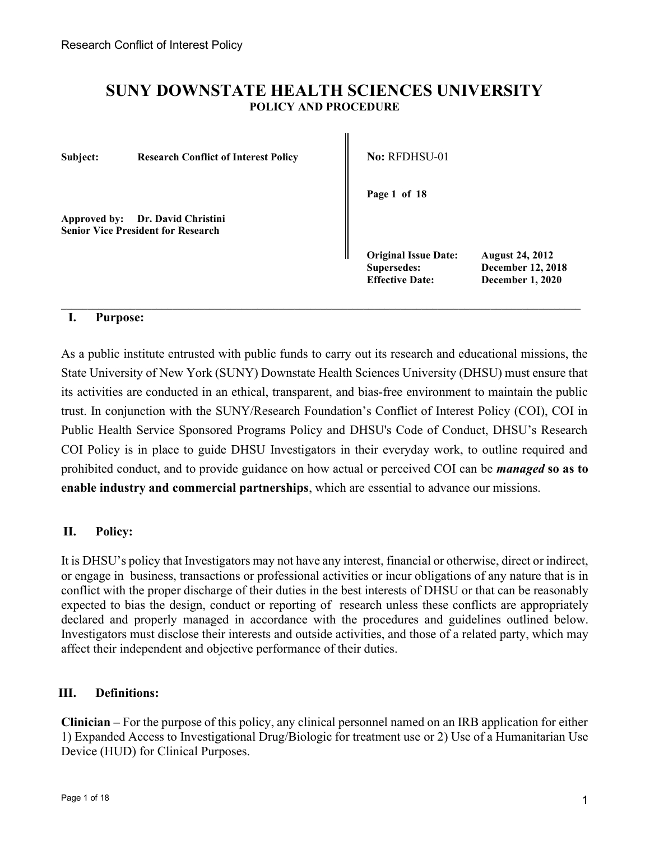# SUNY DOWNSTATE HEALTH SCIENCES UNIVERSITY POLICY AND PROCEDURE

Subject: Research Conflict of Interest Policy  $\parallel$  No: RFDHSU-01

Approved by: Dr. David Christini Senior Vice President for Research

Page 1 of 18

Original Issue Date: August 24, 2012 Effective Date: December 1, 2020

Supersedes: December 12, 2018

# I. Purpose:

As a public institute entrusted with public funds to carry out its research and educational missions, the State University of New York (SUNY) Downstate Health Sciences University (DHSU) must ensure that its activities are conducted in an ethical, transparent, and bias-free environment to maintain the public trust. In conjunction with the SUNY/Research Foundation's Conflict of Interest Policy (COI), COI in Public Health Service Sponsored Programs Policy and DHSU's Code of Conduct, DHSU's Research COI Policy is in place to guide DHSU Investigators in their everyday work, to outline required and prohibited conduct, and to provide guidance on how actual or perceived COI can be *managed* so as to enable industry and commercial partnerships, which are essential to advance our missions.

 $\_$  , and the state of the state of the state of the state of the state of the state of the state of the state of the state of the state of the state of the state of the state of the state of the state of the state of the

# II. Policy:

It is DHSU's policy that Investigators may not have any interest, financial or otherwise, direct or indirect, or engage in business, transactions or professional activities or incur obligations of any nature that is in conflict with the proper discharge of their duties in the best interests of DHSU or that can be reasonably expected to bias the design, conduct or reporting of research unless these conflicts are appropriately declared and properly managed in accordance with the procedures and guidelines outlined below. Investigators must disclose their interests and outside activities, and those of a related party, which may affect their independent and objective performance of their duties.

# III. Definitions:

Clinician – For the purpose of this policy, any clinical personnel named on an IRB application for either 1) Expanded Access to Investigational Drug/Biologic for treatment use or 2) Use of a Humanitarian Use Device (HUD) for Clinical Purposes.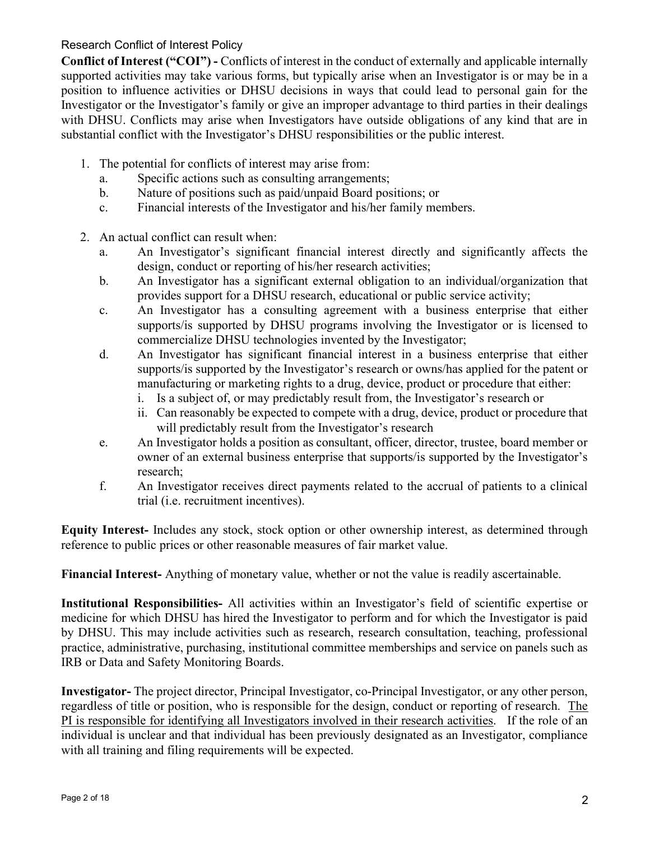Conflict of Interest ("COI") - Conflicts of interest in the conduct of externally and applicable internally supported activities may take various forms, but typically arise when an Investigator is or may be in a position to influence activities or DHSU decisions in ways that could lead to personal gain for the Investigator or the Investigator's family or give an improper advantage to third parties in their dealings with DHSU. Conflicts may arise when Investigators have outside obligations of any kind that are in substantial conflict with the Investigator's DHSU responsibilities or the public interest.

- 1. The potential for conflicts of interest may arise from:
	- a. Specific actions such as consulting arrangements;
	- b. Nature of positions such as paid/unpaid Board positions; or
	- c. Financial interests of the Investigator and his/her family members.
- 2. An actual conflict can result when:
	- a. An Investigator's significant financial interest directly and significantly affects the design, conduct or reporting of his/her research activities;
	- b. An Investigator has a significant external obligation to an individual/organization that provides support for a DHSU research, educational or public service activity;
	- c. An Investigator has a consulting agreement with a business enterprise that either supports/is supported by DHSU programs involving the Investigator or is licensed to commercialize DHSU technologies invented by the Investigator;
	- d. An Investigator has significant financial interest in a business enterprise that either supports/is supported by the Investigator's research or owns/has applied for the patent or manufacturing or marketing rights to a drug, device, product or procedure that either:
		- i. Is a subject of, or may predictably result from, the Investigator's research or
		- ii. Can reasonably be expected to compete with a drug, device, product or procedure that will predictably result from the Investigator's research
	- e. An Investigator holds a position as consultant, officer, director, trustee, board member or owner of an external business enterprise that supports/is supported by the Investigator's research;
	- f. An Investigator receives direct payments related to the accrual of patients to a clinical trial (i.e. recruitment incentives).

Equity Interest- Includes any stock, stock option or other ownership interest, as determined through reference to public prices or other reasonable measures of fair market value.

Financial Interest- Anything of monetary value, whether or not the value is readily ascertainable.

Institutional Responsibilities- All activities within an Investigator's field of scientific expertise or medicine for which DHSU has hired the Investigator to perform and for which the Investigator is paid by DHSU. This may include activities such as research, research consultation, teaching, professional practice, administrative, purchasing, institutional committee memberships and service on panels such as IRB or Data and Safety Monitoring Boards.

Investigator- The project director, Principal Investigator, co-Principal Investigator, or any other person, regardless of title or position, who is responsible for the design, conduct or reporting of research. The PI is responsible for identifying all Investigators involved in their research activities. If the role of an individual is unclear and that individual has been previously designated as an Investigator, compliance with all training and filing requirements will be expected.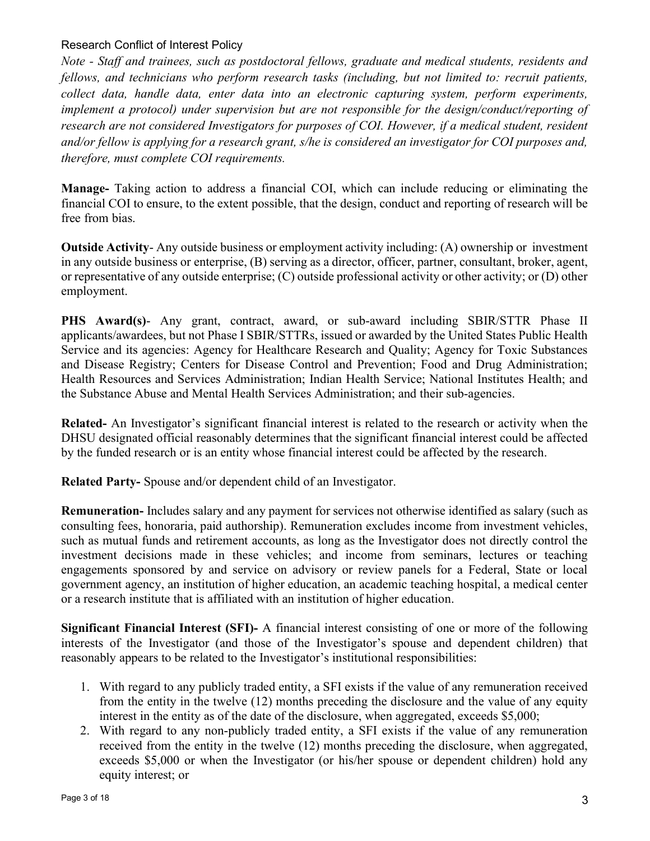Note - Staff and trainees, such as postdoctoral fellows, graduate and medical students, residents and fellows, and technicians who perform research tasks (including, but not limited to: recruit patients, collect data, handle data, enter data into an electronic capturing system, perform experiments, implement a protocol) under supervision but are not responsible for the design/conduct/reporting of research are not considered Investigators for purposes of COI. However, if a medical student, resident and/or fellow is applying for a research grant, s/he is considered an investigator for COI purposes and, therefore, must complete COI requirements.

Manage- Taking action to address a financial COI, which can include reducing or eliminating the financial COI to ensure, to the extent possible, that the design, conduct and reporting of research will be free from bias.

Outside Activity- Any outside business or employment activity including: (A) ownership or investment in any outside business or enterprise, (B) serving as a director, officer, partner, consultant, broker, agent, or representative of any outside enterprise; (C) outside professional activity or other activity; or (D) other employment.

PHS Award(s)- Any grant, contract, award, or sub-award including SBIR/STTR Phase II applicants/awardees, but not Phase I SBIR/STTRs, issued or awarded by the United States Public Health Service and its agencies: Agency for Healthcare Research and Quality; Agency for Toxic Substances and Disease Registry; Centers for Disease Control and Prevention; Food and Drug Administration; Health Resources and Services Administration; Indian Health Service; National Institutes Health; and the Substance Abuse and Mental Health Services Administration; and their sub-agencies.

Related- An Investigator's significant financial interest is related to the research or activity when the DHSU designated official reasonably determines that the significant financial interest could be affected by the funded research or is an entity whose financial interest could be affected by the research.

Related Party- Spouse and/or dependent child of an Investigator.

Remuneration- Includes salary and any payment for services not otherwise identified as salary (such as consulting fees, honoraria, paid authorship). Remuneration excludes income from investment vehicles, such as mutual funds and retirement accounts, as long as the Investigator does not directly control the investment decisions made in these vehicles; and income from seminars, lectures or teaching engagements sponsored by and service on advisory or review panels for a Federal, State or local government agency, an institution of higher education, an academic teaching hospital, a medical center or a research institute that is affiliated with an institution of higher education.

Significant Financial Interest (SFI)- A financial interest consisting of one or more of the following interests of the Investigator (and those of the Investigator's spouse and dependent children) that reasonably appears to be related to the Investigator's institutional responsibilities:

- 1. With regard to any publicly traded entity, a SFI exists if the value of any remuneration received from the entity in the twelve (12) months preceding the disclosure and the value of any equity interest in the entity as of the date of the disclosure, when aggregated, exceeds \$5,000;
- 2. With regard to any non-publicly traded entity, a SFI exists if the value of any remuneration received from the entity in the twelve (12) months preceding the disclosure, when aggregated, exceeds \$5,000 or when the Investigator (or his/her spouse or dependent children) hold any equity interest; or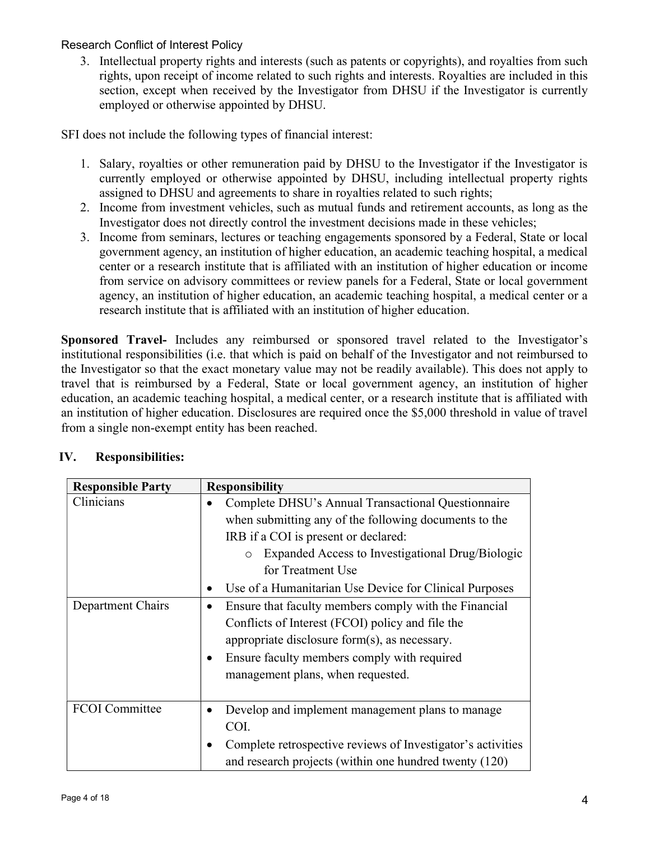3. Intellectual property rights and interests (such as patents or copyrights), and royalties from such rights, upon receipt of income related to such rights and interests. Royalties are included in this section, except when received by the Investigator from DHSU if the Investigator is currently employed or otherwise appointed by DHSU.

SFI does not include the following types of financial interest:

- 1. Salary, royalties or other remuneration paid by DHSU to the Investigator if the Investigator is currently employed or otherwise appointed by DHSU, including intellectual property rights assigned to DHSU and agreements to share in royalties related to such rights;
- 2. Income from investment vehicles, such as mutual funds and retirement accounts, as long as the Investigator does not directly control the investment decisions made in these vehicles;
- 3. Income from seminars, lectures or teaching engagements sponsored by a Federal, State or local government agency, an institution of higher education, an academic teaching hospital, a medical center or a research institute that is affiliated with an institution of higher education or income from service on advisory committees or review panels for a Federal, State or local government agency, an institution of higher education, an academic teaching hospital, a medical center or a research institute that is affiliated with an institution of higher education.

Sponsored Travel- Includes any reimbursed or sponsored travel related to the Investigator's institutional responsibilities (i.e. that which is paid on behalf of the Investigator and not reimbursed to the Investigator so that the exact monetary value may not be readily available). This does not apply to travel that is reimbursed by a Federal, State or local government agency, an institution of higher education, an academic teaching hospital, a medical center, or a research institute that is affiliated with an institution of higher education. Disclosures are required once the \$5,000 threshold in value of travel from a single non-exempt entity has been reached.

| <b>Responsible Party</b> | <b>Responsibility</b>                                       |
|--------------------------|-------------------------------------------------------------|
| Clinicians               | Complete DHSU's Annual Transactional Questionnaire          |
|                          | when submitting any of the following documents to the       |
|                          | IRB if a COI is present or declared:                        |
|                          | Expanded Access to Investigational Drug/Biologic<br>$\circ$ |
|                          | for Treatment Use                                           |
|                          | Use of a Humanitarian Use Device for Clinical Purposes      |
| Department Chairs        | Ensure that faculty members comply with the Financial       |
|                          | Conflicts of Interest (FCOI) policy and file the            |
|                          | appropriate disclosure form(s), as necessary.               |
|                          | Ensure faculty members comply with required                 |
|                          | management plans, when requested.                           |
|                          |                                                             |
| <b>FCOI</b> Committee    | Develop and implement management plans to manage            |
|                          | COI.                                                        |
|                          | Complete retrospective reviews of Investigator's activities |
|                          | and research projects (within one hundred twenty (120)      |

# IV. Responsibilities: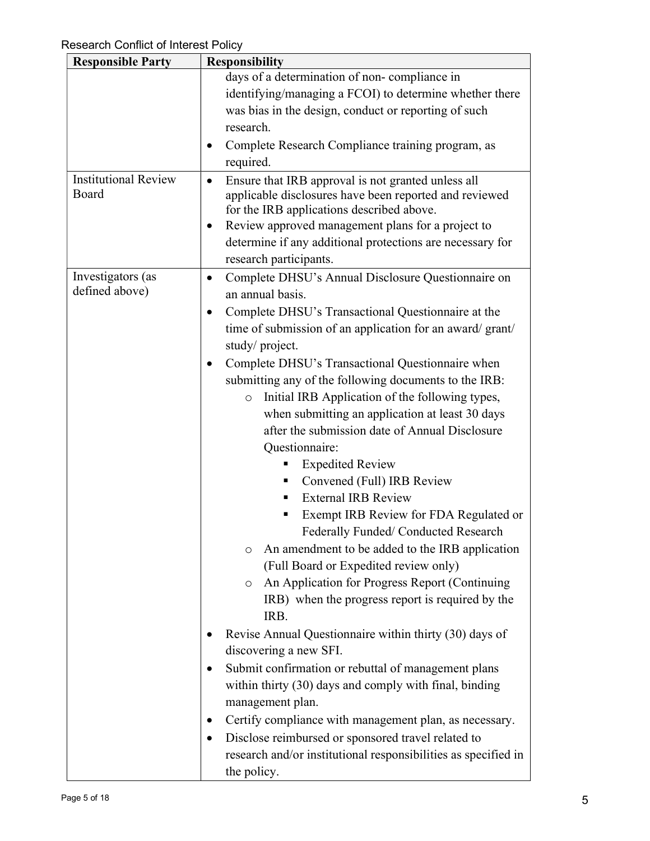| <b>Responsible Party</b>             | <b>Responsibility</b>                                                                                                                                                                                                                                                                                                                                                                                                                                                                                                                                                                                                                                                                                                                                                                                                                                                                                                                                                                                                                                                                                                                                                                                                                                                                                                                                            |
|--------------------------------------|------------------------------------------------------------------------------------------------------------------------------------------------------------------------------------------------------------------------------------------------------------------------------------------------------------------------------------------------------------------------------------------------------------------------------------------------------------------------------------------------------------------------------------------------------------------------------------------------------------------------------------------------------------------------------------------------------------------------------------------------------------------------------------------------------------------------------------------------------------------------------------------------------------------------------------------------------------------------------------------------------------------------------------------------------------------------------------------------------------------------------------------------------------------------------------------------------------------------------------------------------------------------------------------------------------------------------------------------------------------|
|                                      | days of a determination of non-compliance in<br>identifying/managing a FCOI) to determine whether there<br>was bias in the design, conduct or reporting of such<br>research.<br>Complete Research Compliance training program, as<br>required.                                                                                                                                                                                                                                                                                                                                                                                                                                                                                                                                                                                                                                                                                                                                                                                                                                                                                                                                                                                                                                                                                                                   |
| <b>Institutional Review</b><br>Board | Ensure that IRB approval is not granted unless all<br>$\bullet$<br>applicable disclosures have been reported and reviewed<br>for the IRB applications described above.<br>Review approved management plans for a project to<br>$\bullet$<br>determine if any additional protections are necessary for<br>research participants.                                                                                                                                                                                                                                                                                                                                                                                                                                                                                                                                                                                                                                                                                                                                                                                                                                                                                                                                                                                                                                  |
| Investigators (as<br>defined above)  | Complete DHSU's Annual Disclosure Questionnaire on<br>$\bullet$<br>an annual basis.<br>Complete DHSU's Transactional Questionnaire at the<br>time of submission of an application for an award/grant/<br>study/project.<br>Complete DHSU's Transactional Questionnaire when<br>submitting any of the following documents to the IRB:<br>Initial IRB Application of the following types,<br>$\circ$<br>when submitting an application at least 30 days<br>after the submission date of Annual Disclosure<br>Questionnaire:<br><b>Expedited Review</b><br>Convened (Full) IRB Review<br>ш<br><b>External IRB Review</b><br>Exempt IRB Review for FDA Regulated or<br>Federally Funded/Conducted Research<br>An amendment to be added to the IRB application<br>$\circ$<br>(Full Board or Expedited review only)<br>An Application for Progress Report (Continuing<br>$\circ$<br>IRB) when the progress report is required by the<br>IRB.<br>Revise Annual Questionnaire within thirty (30) days of<br>discovering a new SFI.<br>Submit confirmation or rebuttal of management plans<br>within thirty (30) days and comply with final, binding<br>management plan.<br>Certify compliance with management plan, as necessary.<br>Disclose reimbursed or sponsored travel related to<br>research and/or institutional responsibilities as specified in<br>the policy. |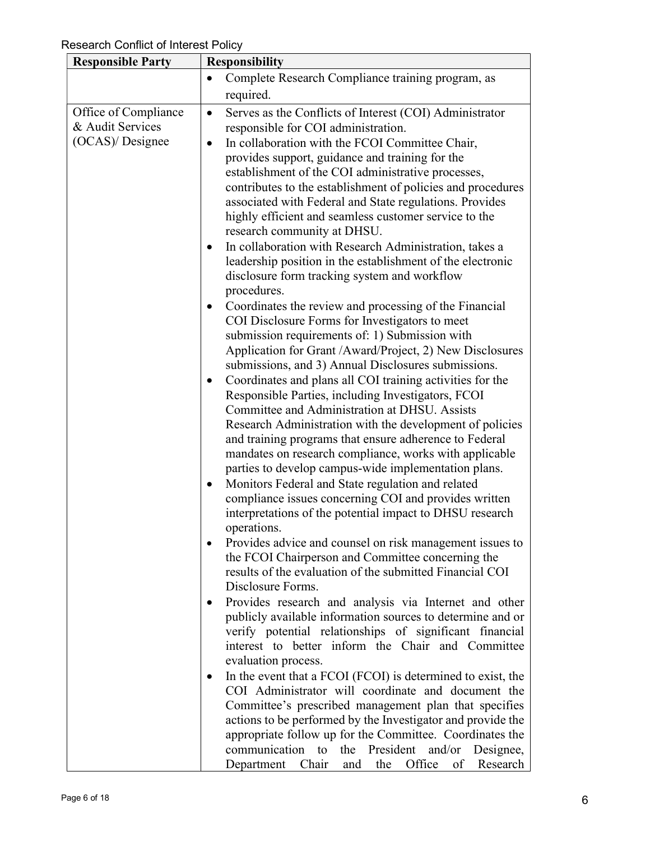| <b>Responsible Party</b> | <b>Responsibility</b>                                                                                                        |
|--------------------------|------------------------------------------------------------------------------------------------------------------------------|
|                          | Complete Research Compliance training program, as<br>$\bullet$                                                               |
|                          | required.                                                                                                                    |
| Office of Compliance     | Serves as the Conflicts of Interest (COI) Administrator<br>$\bullet$                                                         |
| & Audit Services         | responsible for COI administration.                                                                                          |
| (OCAS)/ Designee         | In collaboration with the FCOI Committee Chair,<br>$\bullet$                                                                 |
|                          | provides support, guidance and training for the                                                                              |
|                          | establishment of the COI administrative processes,                                                                           |
|                          | contributes to the establishment of policies and procedures                                                                  |
|                          | associated with Federal and State regulations. Provides                                                                      |
|                          | highly efficient and seamless customer service to the                                                                        |
|                          | research community at DHSU.                                                                                                  |
|                          | In collaboration with Research Administration, takes a<br>$\bullet$                                                          |
|                          | leadership position in the establishment of the electronic                                                                   |
|                          | disclosure form tracking system and workflow                                                                                 |
|                          | procedures.                                                                                                                  |
|                          | Coordinates the review and processing of the Financial<br>٠                                                                  |
|                          | COI Disclosure Forms for Investigators to meet                                                                               |
|                          | submission requirements of: 1) Submission with                                                                               |
|                          | Application for Grant /Award/Project, 2) New Disclosures                                                                     |
|                          | submissions, and 3) Annual Disclosures submissions.                                                                          |
|                          | Coordinates and plans all COI training activities for the<br>$\bullet$<br>Responsible Parties, including Investigators, FCOI |
|                          | Committee and Administration at DHSU. Assists                                                                                |
|                          | Research Administration with the development of policies                                                                     |
|                          | and training programs that ensure adherence to Federal                                                                       |
|                          | mandates on research compliance, works with applicable                                                                       |
|                          | parties to develop campus-wide implementation plans.                                                                         |
|                          | Monitors Federal and State regulation and related<br>٠                                                                       |
|                          | compliance issues concerning COI and provides written                                                                        |
|                          | interpretations of the potential impact to DHSU research                                                                     |
|                          | operations.                                                                                                                  |
|                          | Provides advice and counsel on risk management issues to                                                                     |
|                          | the FCOI Chairperson and Committee concerning the<br>results of the evaluation of the submitted Financial COI                |
|                          | Disclosure Forms.                                                                                                            |
|                          | Provides research and analysis via Internet and other<br>$\bullet$                                                           |
|                          | publicly available information sources to determine and or                                                                   |
|                          | verify potential relationships of significant financial                                                                      |
|                          | interest to better inform the Chair and Committee                                                                            |
|                          | evaluation process.                                                                                                          |
|                          | In the event that a FCOI (FCOI) is determined to exist, the<br>$\bullet$                                                     |
|                          | COI Administrator will coordinate and document the                                                                           |
|                          | Committee's prescribed management plan that specifies                                                                        |
|                          | actions to be performed by the Investigator and provide the                                                                  |
|                          | appropriate follow up for the Committee. Coordinates the                                                                     |
|                          | the President<br>communication to<br>and/or<br>Designee,                                                                     |
|                          | Office<br>Department Chair<br>the<br>Research<br>and<br>of                                                                   |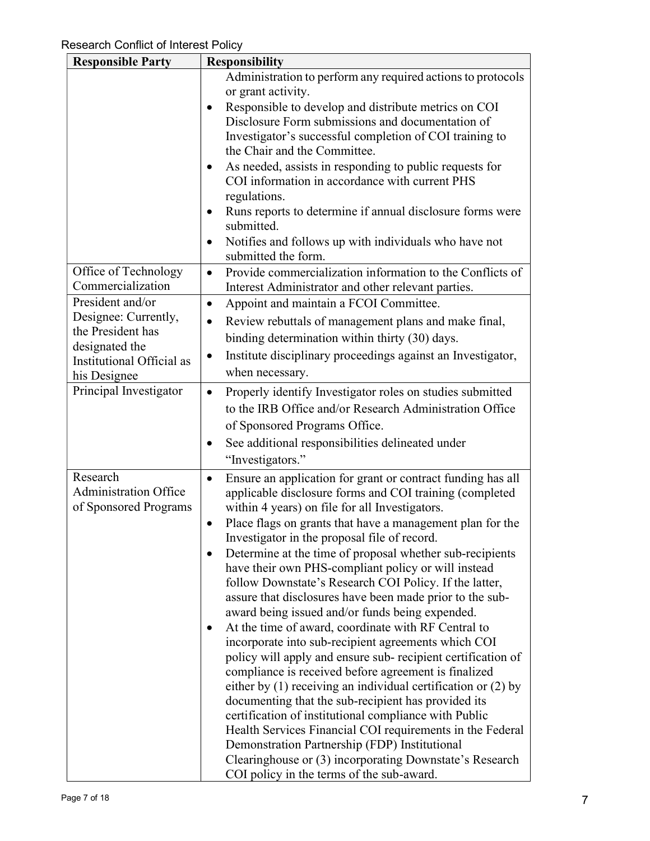| <b>Responsible Party</b>                                                                                                     | <b>Responsibility</b>                                                                                                                                                                                                                                                                                                                                                                                                                                                                                                                                                                                                                                                                                                                                                                                                                                                                                                                                                                                                                                                                                                                                                                                                                                       |
|------------------------------------------------------------------------------------------------------------------------------|-------------------------------------------------------------------------------------------------------------------------------------------------------------------------------------------------------------------------------------------------------------------------------------------------------------------------------------------------------------------------------------------------------------------------------------------------------------------------------------------------------------------------------------------------------------------------------------------------------------------------------------------------------------------------------------------------------------------------------------------------------------------------------------------------------------------------------------------------------------------------------------------------------------------------------------------------------------------------------------------------------------------------------------------------------------------------------------------------------------------------------------------------------------------------------------------------------------------------------------------------------------|
|                                                                                                                              | Administration to perform any required actions to protocols<br>or grant activity.<br>Responsible to develop and distribute metrics on COI<br>Disclosure Form submissions and documentation of<br>Investigator's successful completion of COI training to<br>the Chair and the Committee.<br>As needed, assists in responding to public requests for<br>COI information in accordance with current PHS<br>regulations.<br>Runs reports to determine if annual disclosure forms were<br>submitted.<br>Notifies and follows up with individuals who have not<br>submitted the form.                                                                                                                                                                                                                                                                                                                                                                                                                                                                                                                                                                                                                                                                            |
| Office of Technology<br>Commercialization                                                                                    | Provide commercialization information to the Conflicts of<br>$\bullet$<br>Interest Administrator and other relevant parties.                                                                                                                                                                                                                                                                                                                                                                                                                                                                                                                                                                                                                                                                                                                                                                                                                                                                                                                                                                                                                                                                                                                                |
| President and/or<br>Designee: Currently,<br>the President has<br>designated the<br>Institutional Official as<br>his Designee | Appoint and maintain a FCOI Committee.<br>$\bullet$<br>Review rebuttals of management plans and make final,<br>binding determination within thirty (30) days.<br>Institute disciplinary proceedings against an Investigator,<br>when necessary.                                                                                                                                                                                                                                                                                                                                                                                                                                                                                                                                                                                                                                                                                                                                                                                                                                                                                                                                                                                                             |
| Principal Investigator                                                                                                       | Properly identify Investigator roles on studies submitted<br>$\bullet$<br>to the IRB Office and/or Research Administration Office<br>of Sponsored Programs Office.<br>See additional responsibilities delineated under<br>"Investigators."                                                                                                                                                                                                                                                                                                                                                                                                                                                                                                                                                                                                                                                                                                                                                                                                                                                                                                                                                                                                                  |
| Research<br><b>Administration Office</b><br>of Sponsored Programs                                                            | Ensure an application for grant or contract funding has all<br>$\bullet$<br>applicable disclosure forms and COI training (completed<br>within 4 years) on file for all Investigators.<br>Place flags on grants that have a management plan for the<br>$\bullet$<br>Investigator in the proposal file of record.<br>Determine at the time of proposal whether sub-recipients<br>have their own PHS-compliant policy or will instead<br>follow Downstate's Research COI Policy. If the latter,<br>assure that disclosures have been made prior to the sub-<br>award being issued and/or funds being expended.<br>At the time of award, coordinate with RF Central to<br>incorporate into sub-recipient agreements which COI<br>policy will apply and ensure sub-recipient certification of<br>compliance is received before agreement is finalized<br>either by $(1)$ receiving an individual certification or $(2)$ by<br>documenting that the sub-recipient has provided its<br>certification of institutional compliance with Public<br>Health Services Financial COI requirements in the Federal<br>Demonstration Partnership (FDP) Institutional<br>Clearinghouse or (3) incorporating Downstate's Research<br>COI policy in the terms of the sub-award. |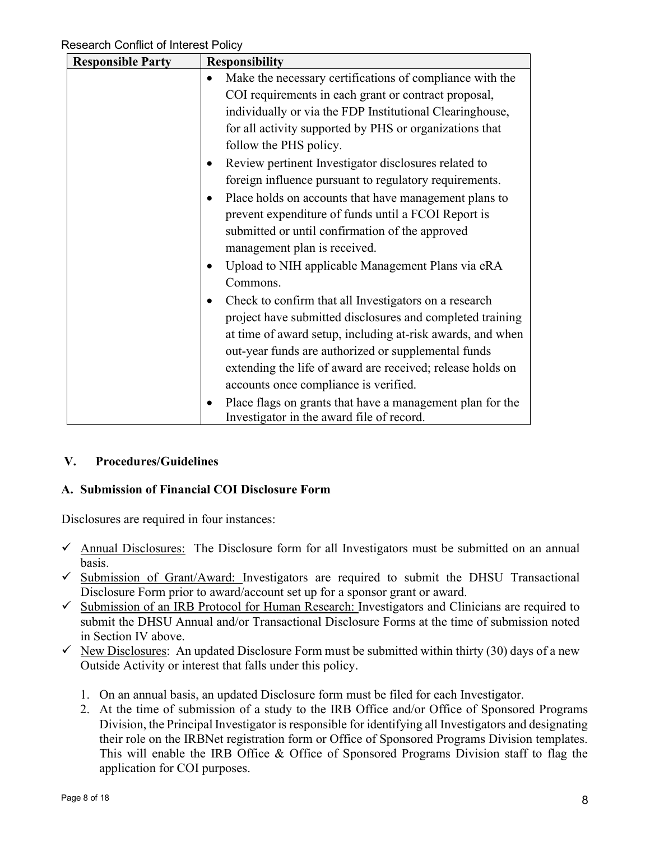| <b>Responsible Party</b> | <b>Responsibility</b>                                                  |
|--------------------------|------------------------------------------------------------------------|
|                          | Make the necessary certifications of compliance with the               |
|                          | COI requirements in each grant or contract proposal,                   |
|                          | individually or via the FDP Institutional Clearinghouse,               |
|                          | for all activity supported by PHS or organizations that                |
|                          | follow the PHS policy.                                                 |
|                          | Review pertinent Investigator disclosures related to                   |
|                          | foreign influence pursuant to regulatory requirements.                 |
|                          | Place holds on accounts that have management plans to<br>$\bullet$     |
|                          | prevent expenditure of funds until a FCOI Report is                    |
|                          | submitted or until confirmation of the approved                        |
|                          | management plan is received.                                           |
|                          | Upload to NIH applicable Management Plans via eRA                      |
|                          | Commons.                                                               |
|                          | Check to confirm that all Investigators on a research                  |
|                          | project have submitted disclosures and completed training              |
|                          | at time of award setup, including at-risk awards, and when             |
|                          | out-year funds are authorized or supplemental funds                    |
|                          | extending the life of award are received; release holds on             |
|                          | accounts once compliance is verified.                                  |
|                          | Place flags on grants that have a management plan for the<br>$\bullet$ |
|                          | Investigator in the award file of record.                              |

# V. Procedures/Guidelines

# A. Submission of Financial COI Disclosure Form

Disclosures are required in four instances:

- $\checkmark$  Annual Disclosures: The Disclosure form for all Investigators must be submitted on an annual basis.
- $\checkmark$  Submission of Grant/Award: Investigators are required to submit the DHSU Transactional Disclosure Form prior to award/account set up for a sponsor grant or award.
- $\checkmark$  Submission of an IRB Protocol for Human Research: Investigators and Clinicians are required to submit the DHSU Annual and/or Transactional Disclosure Forms at the time of submission noted in Section IV above.
- $\checkmark$  New Disclosures: An updated Disclosure Form must be submitted within thirty (30) days of a new Outside Activity or interest that falls under this policy.
	- 1. On an annual basis, an updated Disclosure form must be filed for each Investigator.
	- 2. At the time of submission of a study to the IRB Office and/or Office of Sponsored Programs Division, the Principal Investigator is responsible for identifying all Investigators and designating their role on the IRBNet registration form or Office of Sponsored Programs Division templates. This will enable the IRB Office & Office of Sponsored Programs Division staff to flag the application for COI purposes.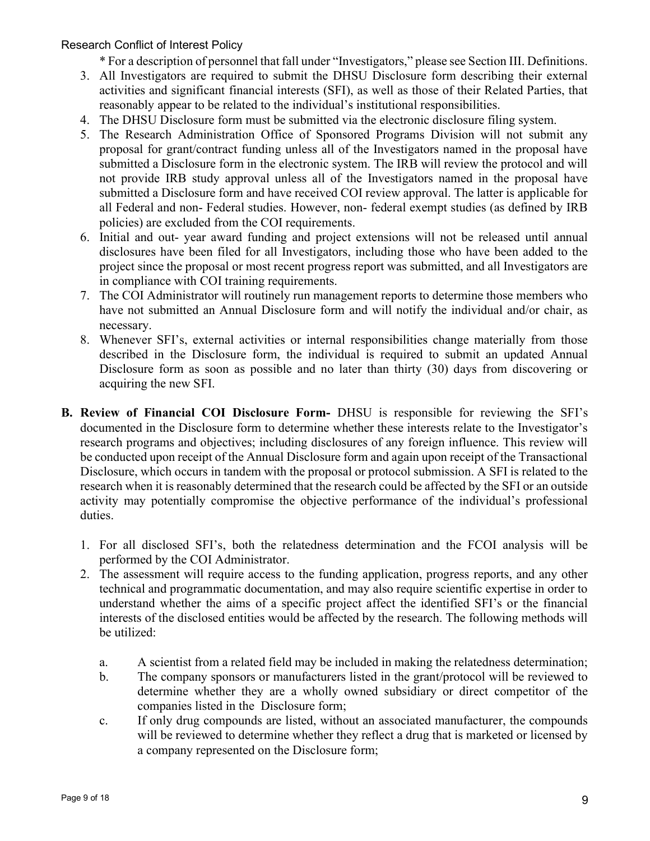\* For a description of personnel that fall under "Investigators," please see Section III. Definitions.

- 3. All Investigators are required to submit the DHSU Disclosure form describing their external activities and significant financial interests (SFI), as well as those of their Related Parties, that reasonably appear to be related to the individual's institutional responsibilities.
- 4. The DHSU Disclosure form must be submitted via the electronic disclosure filing system.
- 5. The Research Administration Office of Sponsored Programs Division will not submit any proposal for grant/contract funding unless all of the Investigators named in the proposal have submitted a Disclosure form in the electronic system. The IRB will review the protocol and will not provide IRB study approval unless all of the Investigators named in the proposal have submitted a Disclosure form and have received COI review approval. The latter is applicable for all Federal and non- Federal studies. However, non- federal exempt studies (as defined by IRB policies) are excluded from the COI requirements.
- 6. Initial and out- year award funding and project extensions will not be released until annual disclosures have been filed for all Investigators, including those who have been added to the project since the proposal or most recent progress report was submitted, and all Investigators are in compliance with COI training requirements.
- 7. The COI Administrator will routinely run management reports to determine those members who have not submitted an Annual Disclosure form and will notify the individual and/or chair, as necessary.
- 8. Whenever SFI's, external activities or internal responsibilities change materially from those described in the Disclosure form, the individual is required to submit an updated Annual Disclosure form as soon as possible and no later than thirty (30) days from discovering or acquiring the new SFI.
- B. Review of Financial COI Disclosure Form- DHSU is responsible for reviewing the SFI's documented in the Disclosure form to determine whether these interests relate to the Investigator's research programs and objectives; including disclosures of any foreign influence. This review will be conducted upon receipt of the Annual Disclosure form and again upon receipt of the Transactional Disclosure, which occurs in tandem with the proposal or protocol submission. A SFI is related to the research when it is reasonably determined that the research could be affected by the SFI or an outside activity may potentially compromise the objective performance of the individual's professional duties.
	- 1. For all disclosed SFI's, both the relatedness determination and the FCOI analysis will be performed by the COI Administrator.
	- 2. The assessment will require access to the funding application, progress reports, and any other technical and programmatic documentation, and may also require scientific expertise in order to understand whether the aims of a specific project affect the identified SFI's or the financial interests of the disclosed entities would be affected by the research. The following methods will be utilized:
		- a. A scientist from a related field may be included in making the relatedness determination;
		- b. The company sponsors or manufacturers listed in the grant/protocol will be reviewed to determine whether they are a wholly owned subsidiary or direct competitor of the companies listed in the Disclosure form;
		- c. If only drug compounds are listed, without an associated manufacturer, the compounds will be reviewed to determine whether they reflect a drug that is marketed or licensed by a company represented on the Disclosure form;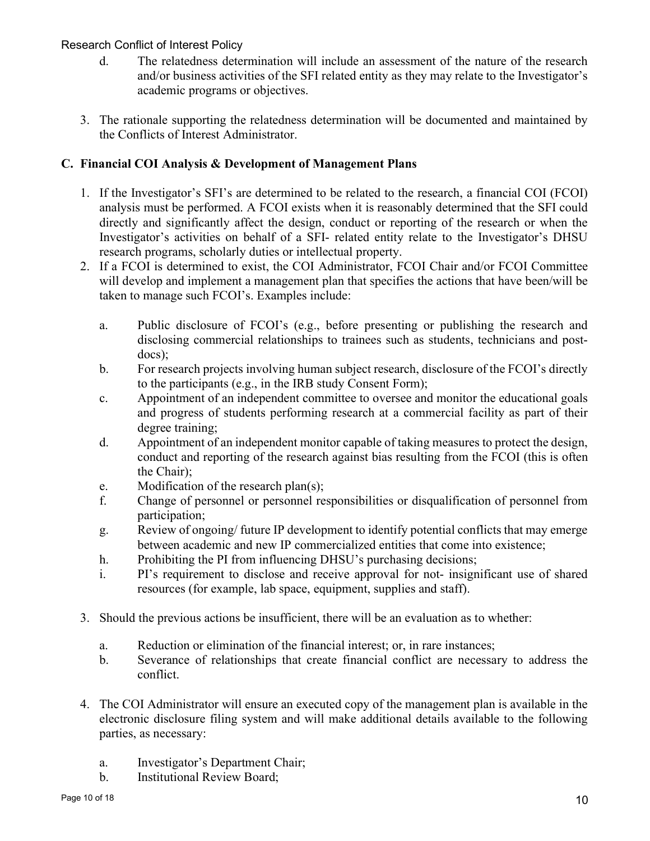- d. The relatedness determination will include an assessment of the nature of the research and/or business activities of the SFI related entity as they may relate to the Investigator's academic programs or objectives.
- 3. The rationale supporting the relatedness determination will be documented and maintained by the Conflicts of Interest Administrator.

# C. Financial COI Analysis & Development of Management Plans

- 1. If the Investigator's SFI's are determined to be related to the research, a financial COI (FCOI) analysis must be performed. A FCOI exists when it is reasonably determined that the SFI could directly and significantly affect the design, conduct or reporting of the research or when the Investigator's activities on behalf of a SFI- related entity relate to the Investigator's DHSU research programs, scholarly duties or intellectual property.
- 2. If a FCOI is determined to exist, the COI Administrator, FCOI Chair and/or FCOI Committee will develop and implement a management plan that specifies the actions that have been/will be taken to manage such FCOI's. Examples include:
	- a. Public disclosure of FCOI's (e.g., before presenting or publishing the research and disclosing commercial relationships to trainees such as students, technicians and postdocs);
	- b. For research projects involving human subject research, disclosure of the FCOI's directly to the participants (e.g., in the IRB study Consent Form);
	- c. Appointment of an independent committee to oversee and monitor the educational goals and progress of students performing research at a commercial facility as part of their degree training;
	- d. Appointment of an independent monitor capable of taking measures to protect the design, conduct and reporting of the research against bias resulting from the FCOI (this is often the Chair);
	- e. Modification of the research plan(s);
	- f. Change of personnel or personnel responsibilities or disqualification of personnel from participation;
	- g. Review of ongoing/ future IP development to identify potential conflicts that may emerge between academic and new IP commercialized entities that come into existence;
	- h. Prohibiting the PI from influencing DHSU's purchasing decisions;
	- i. PI's requirement to disclose and receive approval for not- insignificant use of shared resources (for example, lab space, equipment, supplies and staff).
- 3. Should the previous actions be insufficient, there will be an evaluation as to whether:
	- a. Reduction or elimination of the financial interest; or, in rare instances;
	- b. Severance of relationships that create financial conflict are necessary to address the conflict.
- 4. The COI Administrator will ensure an executed copy of the management plan is available in the electronic disclosure filing system and will make additional details available to the following parties, as necessary:
	- a. Investigator's Department Chair;
	- b. Institutional Review Board;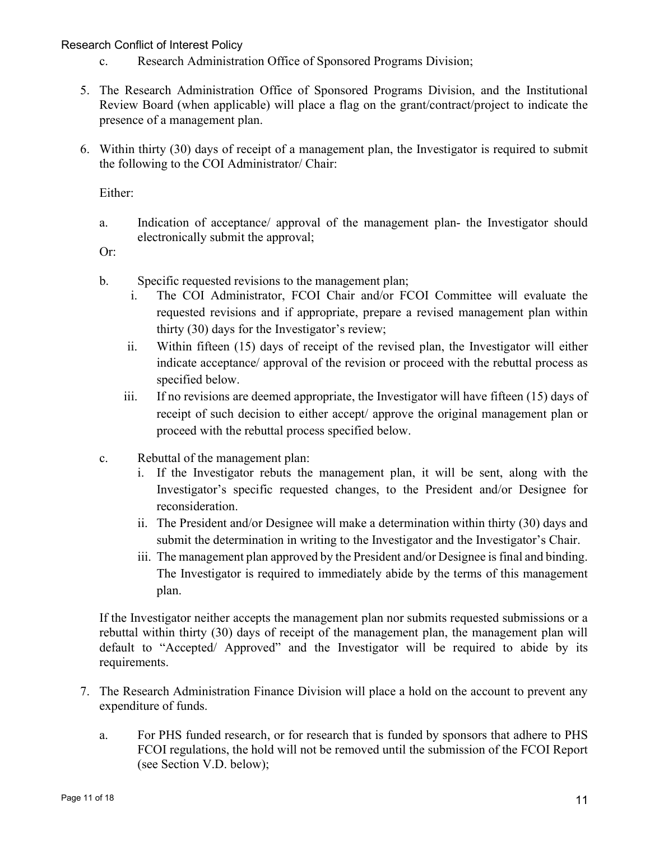- c. Research Administration Office of Sponsored Programs Division;
- 5. The Research Administration Office of Sponsored Programs Division, and the Institutional Review Board (when applicable) will place a flag on the grant/contract/project to indicate the presence of a management plan.
- 6. Within thirty (30) days of receipt of a management plan, the Investigator is required to submit the following to the COI Administrator/ Chair:

Either:

a. Indication of acceptance/ approval of the management plan- the Investigator should electronically submit the approval;

Or:

- b. Specific requested revisions to the management plan;
	- i. The COI Administrator, FCOI Chair and/or FCOI Committee will evaluate the requested revisions and if appropriate, prepare a revised management plan within thirty (30) days for the Investigator's review;
	- ii. Within fifteen (15) days of receipt of the revised plan, the Investigator will either indicate acceptance/ approval of the revision or proceed with the rebuttal process as specified below.
	- iii. If no revisions are deemed appropriate, the Investigator will have fifteen (15) days of receipt of such decision to either accept/ approve the original management plan or proceed with the rebuttal process specified below.
- c. Rebuttal of the management plan:
	- i. If the Investigator rebuts the management plan, it will be sent, along with the Investigator's specific requested changes, to the President and/or Designee for reconsideration.
	- ii. The President and/or Designee will make a determination within thirty (30) days and submit the determination in writing to the Investigator and the Investigator's Chair.
	- iii. The management plan approved by the President and/or Designee is final and binding. The Investigator is required to immediately abide by the terms of this management plan.

If the Investigator neither accepts the management plan nor submits requested submissions or a rebuttal within thirty (30) days of receipt of the management plan, the management plan will default to "Accepted/ Approved" and the Investigator will be required to abide by its requirements.

- 7. The Research Administration Finance Division will place a hold on the account to prevent any expenditure of funds.
	- a. For PHS funded research, or for research that is funded by sponsors that adhere to PHS FCOI regulations, the hold will not be removed until the submission of the FCOI Report (see Section V.D. below);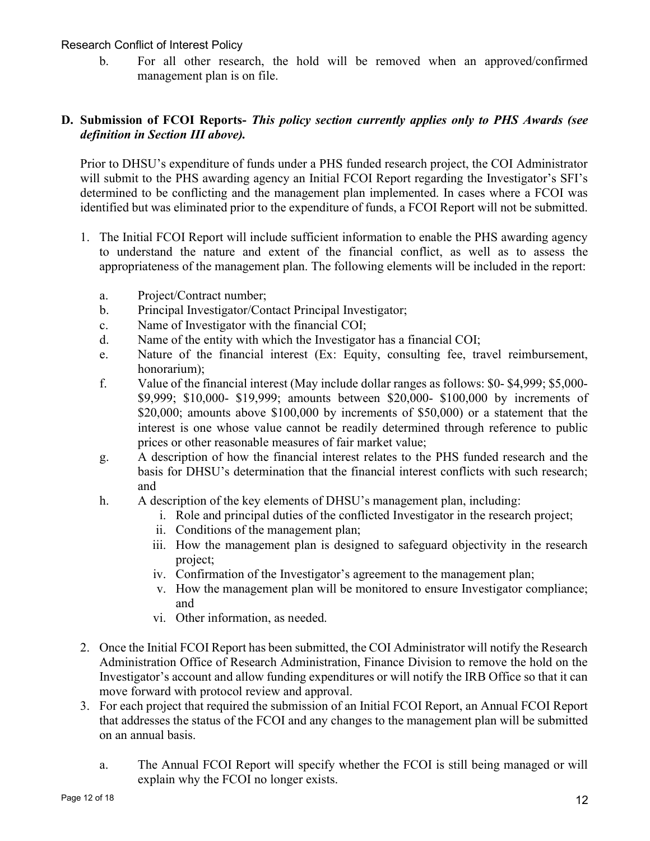b. For all other research, the hold will be removed when an approved/confirmed management plan is on file.

## D. Submission of FCOI Reports- This policy section currently applies only to PHS Awards (see definition in Section III above).

Prior to DHSU's expenditure of funds under a PHS funded research project, the COI Administrator will submit to the PHS awarding agency an Initial FCOI Report regarding the Investigator's SFI's determined to be conflicting and the management plan implemented. In cases where a FCOI was identified but was eliminated prior to the expenditure of funds, a FCOI Report will not be submitted.

- 1. The Initial FCOI Report will include sufficient information to enable the PHS awarding agency to understand the nature and extent of the financial conflict, as well as to assess the appropriateness of the management plan. The following elements will be included in the report:
	- a. Project/Contract number;
	- b. Principal Investigator/Contact Principal Investigator;
	- c. Name of Investigator with the financial COI;
	- d. Name of the entity with which the Investigator has a financial COI;
	- e. Nature of the financial interest (Ex: Equity, consulting fee, travel reimbursement, honorarium);
	- f. Value of the financial interest (May include dollar ranges as follows: \$0- \$4,999; \$5,000- \$9,999; \$10,000- \$19,999; amounts between \$20,000- \$100,000 by increments of \$20,000; amounts above \$100,000 by increments of \$50,000) or a statement that the interest is one whose value cannot be readily determined through reference to public prices or other reasonable measures of fair market value;
	- g. A description of how the financial interest relates to the PHS funded research and the basis for DHSU's determination that the financial interest conflicts with such research; and
	- h. A description of the key elements of DHSU's management plan, including:
		- i. Role and principal duties of the conflicted Investigator in the research project;
		- ii. Conditions of the management plan;
		- iii. How the management plan is designed to safeguard objectivity in the research project;
		- iv. Confirmation of the Investigator's agreement to the management plan;
		- v. How the management plan will be monitored to ensure Investigator compliance; and
		- vi. Other information, as needed.
- 2. Once the Initial FCOI Report has been submitted, the COI Administrator will notify the Research Administration Office of Research Administration, Finance Division to remove the hold on the Investigator's account and allow funding expenditures or will notify the IRB Office so that it can move forward with protocol review and approval.
- 3. For each project that required the submission of an Initial FCOI Report, an Annual FCOI Report that addresses the status of the FCOI and any changes to the management plan will be submitted on an annual basis.
	- a. The Annual FCOI Report will specify whether the FCOI is still being managed or will explain why the FCOI no longer exists.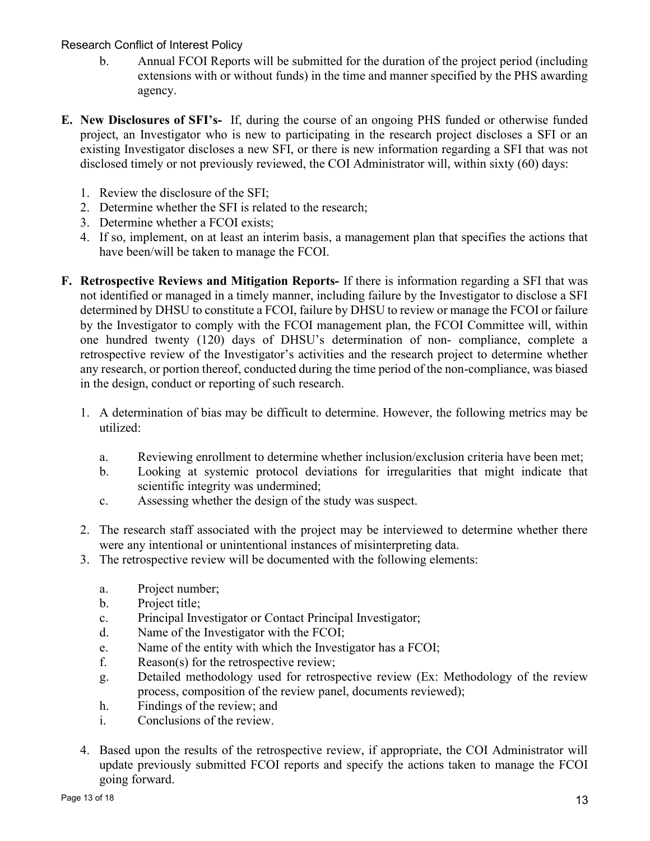- b. Annual FCOI Reports will be submitted for the duration of the project period (including extensions with or without funds) in the time and manner specified by the PHS awarding agency.
- E. New Disclosures of SFI's- If, during the course of an ongoing PHS funded or otherwise funded project, an Investigator who is new to participating in the research project discloses a SFI or an existing Investigator discloses a new SFI, or there is new information regarding a SFI that was not disclosed timely or not previously reviewed, the COI Administrator will, within sixty (60) days:
	- 1. Review the disclosure of the SFI;
	- 2. Determine whether the SFI is related to the research;
	- 3. Determine whether a FCOI exists;
	- 4. If so, implement, on at least an interim basis, a management plan that specifies the actions that have been/will be taken to manage the FCOI.
- F. Retrospective Reviews and Mitigation Reports- If there is information regarding a SFI that was not identified or managed in a timely manner, including failure by the Investigator to disclose a SFI determined by DHSU to constitute a FCOI, failure by DHSU to review or manage the FCOI or failure by the Investigator to comply with the FCOI management plan, the FCOI Committee will, within one hundred twenty (120) days of DHSU's determination of non- compliance, complete a retrospective review of the Investigator's activities and the research project to determine whether any research, or portion thereof, conducted during the time period of the non-compliance, was biased in the design, conduct or reporting of such research.
	- 1. A determination of bias may be difficult to determine. However, the following metrics may be utilized:
		- a. Reviewing enrollment to determine whether inclusion/exclusion criteria have been met;
		- b. Looking at systemic protocol deviations for irregularities that might indicate that scientific integrity was undermined;
		- c. Assessing whether the design of the study was suspect.
	- 2. The research staff associated with the project may be interviewed to determine whether there were any intentional or unintentional instances of misinterpreting data.
	- 3. The retrospective review will be documented with the following elements:
		- a. Project number;
		- b. Project title;
		- c. Principal Investigator or Contact Principal Investigator;
		- d. Name of the Investigator with the FCOI;
		- e. Name of the entity with which the Investigator has a FCOI;
		- f. Reason(s) for the retrospective review;
		- g. Detailed methodology used for retrospective review (Ex: Methodology of the review process, composition of the review panel, documents reviewed);
		- h. Findings of the review; and
		- i. Conclusions of the review.
	- 4. Based upon the results of the retrospective review, if appropriate, the COI Administrator will update previously submitted FCOI reports and specify the actions taken to manage the FCOI going forward.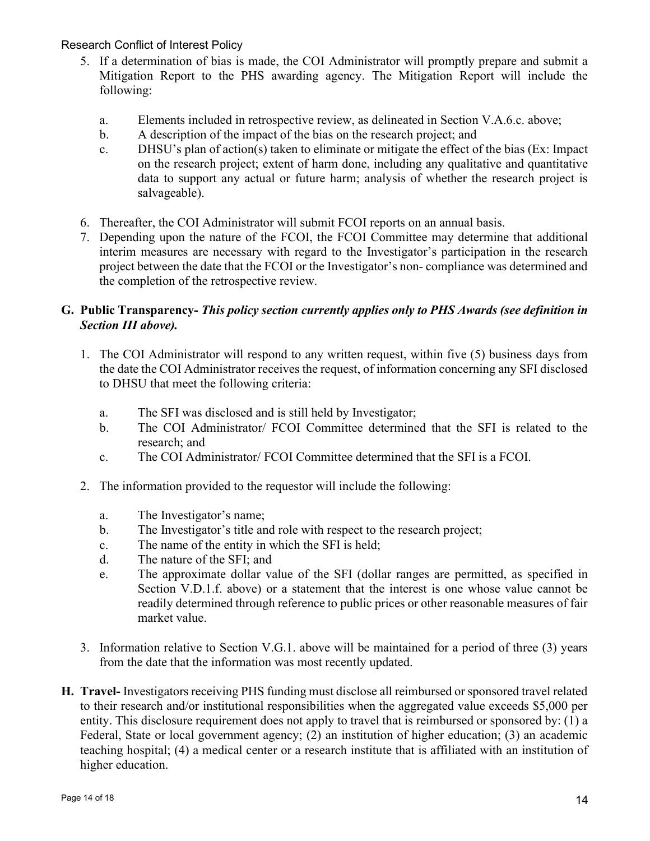- 5. If a determination of bias is made, the COI Administrator will promptly prepare and submit a Mitigation Report to the PHS awarding agency. The Mitigation Report will include the following:
	- a. Elements included in retrospective review, as delineated in Section V.A.6.c. above;
	- b. A description of the impact of the bias on the research project; and
	- c. DHSU's plan of action(s) taken to eliminate or mitigate the effect of the bias (Ex: Impact on the research project; extent of harm done, including any qualitative and quantitative data to support any actual or future harm; analysis of whether the research project is salvageable).
- 6. Thereafter, the COI Administrator will submit FCOI reports on an annual basis.
- 7. Depending upon the nature of the FCOI, the FCOI Committee may determine that additional interim measures are necessary with regard to the Investigator's participation in the research project between the date that the FCOI or the Investigator's non- compliance was determined and the completion of the retrospective review.

# G. Public Transparency- This policy section currently applies only to PHS Awards (see definition in Section III above).

- 1. The COI Administrator will respond to any written request, within five (5) business days from the date the COI Administrator receives the request, of information concerning any SFI disclosed to DHSU that meet the following criteria:
	- a. The SFI was disclosed and is still held by Investigator;
	- b. The COI Administrator/ FCOI Committee determined that the SFI is related to the research; and
	- c. The COI Administrator/ FCOI Committee determined that the SFI is a FCOI.
- 2. The information provided to the requestor will include the following:
	- a. The Investigator's name;
	- b. The Investigator's title and role with respect to the research project;
	- c. The name of the entity in which the SFI is held;
	- d. The nature of the SFI; and
	- e. The approximate dollar value of the SFI (dollar ranges are permitted, as specified in Section V.D.1.f. above) or a statement that the interest is one whose value cannot be readily determined through reference to public prices or other reasonable measures of fair market value.
- 3. Information relative to Section V.G.1. above will be maintained for a period of three (3) years from the date that the information was most recently updated.
- H. Travel- Investigators receiving PHS funding must disclose all reimbursed or sponsored travel related to their research and/or institutional responsibilities when the aggregated value exceeds \$5,000 per entity. This disclosure requirement does not apply to travel that is reimbursed or sponsored by: (1) a Federal, State or local government agency; (2) an institution of higher education; (3) an academic teaching hospital; (4) a medical center or a research institute that is affiliated with an institution of higher education.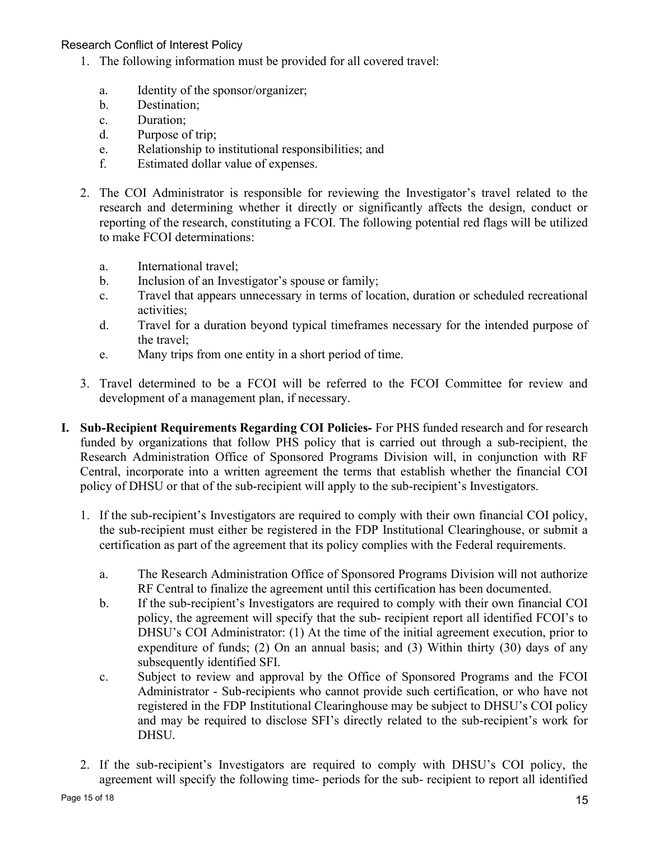- 1. The following information must be provided for all covered travel:
	- a. Identity of the sponsor/organizer;
	- b. Destination;
	- c. Duration;
	- d. Purpose of trip;
	- e. Relationship to institutional responsibilities; and
	- f. Estimated dollar value of expenses.
- 2. The COI Administrator is responsible for reviewing the Investigator's travel related to the research and determining whether it directly or significantly affects the design, conduct or reporting of the research, constituting a FCOI. The following potential red flags will be utilized to make FCOI determinations:
	- a. International travel;
	- b. Inclusion of an Investigator's spouse or family;
	- c. Travel that appears unnecessary in terms of location, duration or scheduled recreational activities;
	- d. Travel for a duration beyond typical timeframes necessary for the intended purpose of the travel;
	- e. Many trips from one entity in a short period of time.
- 3. Travel determined to be a FCOI will be referred to the FCOI Committee for review and development of a management plan, if necessary.
- I. Sub-Recipient Requirements Regarding COI Policies- For PHS funded research and for research funded by organizations that follow PHS policy that is carried out through a sub-recipient, the Research Administration Office of Sponsored Programs Division will, in conjunction with RF Central, incorporate into a written agreement the terms that establish whether the financial COI policy of DHSU or that of the sub-recipient will apply to the sub-recipient's Investigators.
	- 1. If the sub-recipient's Investigators are required to comply with their own financial COI policy, the sub-recipient must either be registered in the FDP Institutional Clearinghouse, or submit a certification as part of the agreement that its policy complies with the Federal requirements.
		- a. The Research Administration Office of Sponsored Programs Division will not authorize RF Central to finalize the agreement until this certification has been documented.
		- b. If the sub-recipient's Investigators are required to comply with their own financial COI policy, the agreement will specify that the sub- recipient report all identified FCOI's to DHSU's COI Administrator: (1) At the time of the initial agreement execution, prior to expenditure of funds; (2) On an annual basis; and (3) Within thirty (30) days of any subsequently identified SFI.
		- c. Subject to review and approval by the Office of Sponsored Programs and the FCOI Administrator - Sub-recipients who cannot provide such certification, or who have not registered in the FDP Institutional Clearinghouse may be subject to DHSU's COI policy and may be required to disclose SFI's directly related to the sub-recipient's work for DHSU.
	- 2. If the sub-recipient's Investigators are required to comply with DHSU's COI policy, the agreement will specify the following time- periods for the sub- recipient to report all identified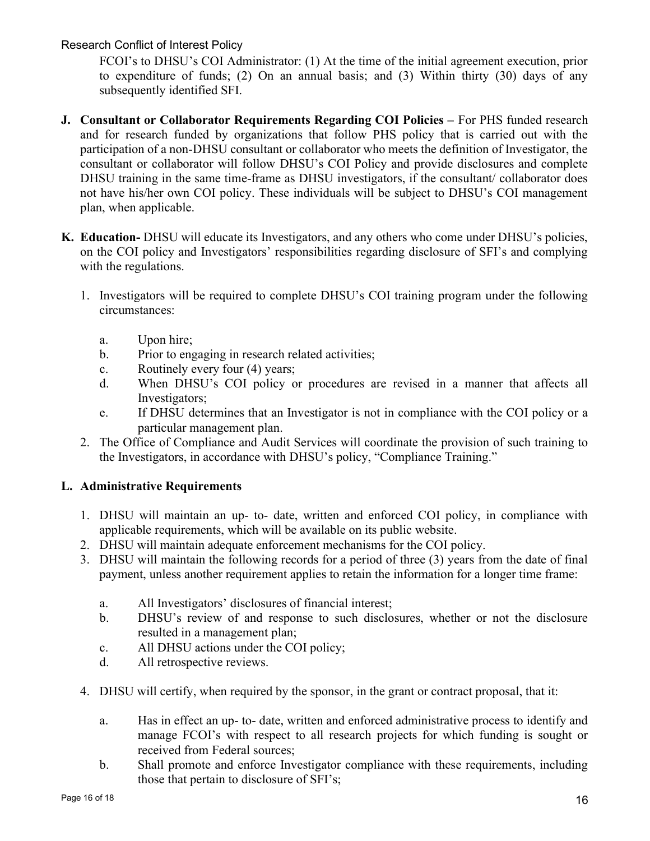FCOI's to DHSU's COI Administrator: (1) At the time of the initial agreement execution, prior to expenditure of funds; (2) On an annual basis; and (3) Within thirty (30) days of any subsequently identified SFI.

- J. Consultant or Collaborator Requirements Regarding COI Policies For PHS funded research and for research funded by organizations that follow PHS policy that is carried out with the participation of a non-DHSU consultant or collaborator who meets the definition of Investigator, the consultant or collaborator will follow DHSU's COI Policy and provide disclosures and complete DHSU training in the same time-frame as DHSU investigators, if the consultant/ collaborator does not have his/her own COI policy. These individuals will be subject to DHSU's COI management plan, when applicable.
- K. Education- DHSU will educate its Investigators, and any others who come under DHSU's policies, on the COI policy and Investigators' responsibilities regarding disclosure of SFI's and complying with the regulations.
	- 1. Investigators will be required to complete DHSU's COI training program under the following circumstances:
		- a. Upon hire;
		- b. Prior to engaging in research related activities;
		- c. Routinely every four (4) years;
		- d. When DHSU's COI policy or procedures are revised in a manner that affects all Investigators;
		- e. If DHSU determines that an Investigator is not in compliance with the COI policy or a particular management plan.
	- 2. The Office of Compliance and Audit Services will coordinate the provision of such training to the Investigators, in accordance with DHSU's policy, "Compliance Training."

# L. Administrative Requirements

- 1. DHSU will maintain an up- to- date, written and enforced COI policy, in compliance with applicable requirements, which will be available on its public website.
- 2. DHSU will maintain adequate enforcement mechanisms for the COI policy.
- 3. DHSU will maintain the following records for a period of three (3) years from the date of final payment, unless another requirement applies to retain the information for a longer time frame:
	- a. All Investigators' disclosures of financial interest;
	- b. DHSU's review of and response to such disclosures, whether or not the disclosure resulted in a management plan;
	- c. All DHSU actions under the COI policy;
	- d. All retrospective reviews.
- 4. DHSU will certify, when required by the sponsor, in the grant or contract proposal, that it:
	- a. Has in effect an up- to- date, written and enforced administrative process to identify and manage FCOI's with respect to all research projects for which funding is sought or received from Federal sources;
	- b. Shall promote and enforce Investigator compliance with these requirements, including those that pertain to disclosure of SFI's;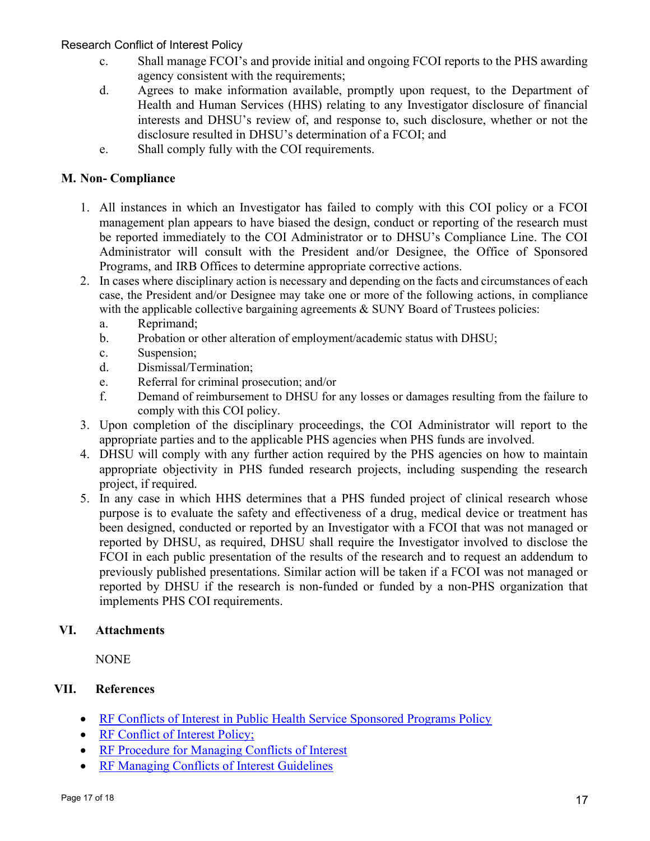- c. Shall manage FCOI's and provide initial and ongoing FCOI reports to the PHS awarding agency consistent with the requirements;
- d. Agrees to make information available, promptly upon request, to the Department of Health and Human Services (HHS) relating to any Investigator disclosure of financial interests and DHSU's review of, and response to, such disclosure, whether or not the disclosure resulted in DHSU's determination of a FCOI; and
- e. Shall comply fully with the COI requirements.

### M. Non- Compliance

- 1. All instances in which an Investigator has failed to comply with this COI policy or a FCOI management plan appears to have biased the design, conduct or reporting of the research must be reported immediately to the COI Administrator or to DHSU's Compliance Line. The COI Administrator will consult with the President and/or Designee, the Office of Sponsored Programs, and IRB Offices to determine appropriate corrective actions.
- 2. In cases where disciplinary action is necessary and depending on the facts and circumstances of each case, the President and/or Designee may take one or more of the following actions, in compliance with the applicable collective bargaining agreements  $&$  SUNY Board of Trustees policies:
	- a. Reprimand;
	- b. Probation or other alteration of employment/academic status with DHSU;
	- c. Suspension;
	- d. Dismissal/Termination;
	- e. Referral for criminal prosecution; and/or
	- f. Demand of reimbursement to DHSU for any losses or damages resulting from the failure to comply with this COI policy.
- 3. Upon completion of the disciplinary proceedings, the COI Administrator will report to the appropriate parties and to the applicable PHS agencies when PHS funds are involved.
- 4. DHSU will comply with any further action required by the PHS agencies on how to maintain appropriate objectivity in PHS funded research projects, including suspending the research project, if required.
- 5. In any case in which HHS determines that a PHS funded project of clinical research whose purpose is to evaluate the safety and effectiveness of a drug, medical device or treatment has been designed, conducted or reported by an Investigator with a FCOI that was not managed or reported by DHSU, as required, DHSU shall require the Investigator involved to disclose the FCOI in each public presentation of the results of the research and to request an addendum to previously published presentations. Similar action will be taken if a FCOI was not managed or reported by DHSU if the research is non-funded or funded by a non-PHS organization that implements PHS COI requirements.

#### VI. Attachments

**NONE** 

# VII. References

- RF Conflicts of Interest in Public Health Service Sponsored Programs Policy
- RF Conflict of Interest Policy;
- RF Procedure for Managing Conflicts of Interest
- RF Managing Conflicts of Interest Guidelines